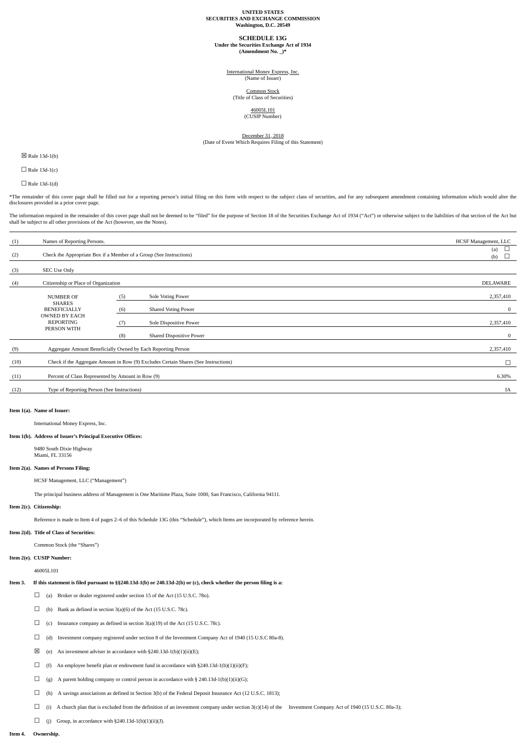#### **UNITED STATES SECURITIES AND EXCHANGE COMMISSION Washington, D.C. 20549**

#### **SCHEDULE 13G**

**Under the Securities Exchange Act of 1934 (Amendment No. \_)\***

International Money Express, Inc. (Name of Issuer)

Common Stock (Title of Class of Securities)

46005L101

(CUSIP Number)

# **December 31, 2018**<br>(Date of Event Which Requires Filing of this Statement)

☒ Rule 13d-1(b)

 $\Box$  Rule 13d-1(c)

 $\Box$  Rule 13d-1(d)

\*The remainder of this cover page shall be filled out for a reporting person's initial filing on this form with respect to the subject class of securities, and for any subsequent amendment containing information which woul disclosures provided in a prior cover page.

The information required in the remainder of this cover page shall not be deemed to be "filed" for the purpose of Section 18 of the Securities Exchange Act of 1934 ("Act") or otherwise subject to the liabilities of that se shall be subject to all other provisions of the Act (however, see the Notes).

| (1)  | Names of Reporting Persons.                                                         |                      |                            | HCSF Management, LLC |
|------|-------------------------------------------------------------------------------------|----------------------|----------------------------|----------------------|
| (2)  | Check the Appropriate Box if a Member of a Group (See Instructions)                 | L<br>(a)<br>L<br>(b) |                            |                      |
| (3)  | SEC Use Only                                                                        |                      |                            |                      |
| (4)  | Citizenship or Place of Organization                                                |                      |                            | <b>DELAWARE</b>      |
|      | <b>NUMBER OF</b>                                                                    | (5)                  | Sole Voting Power          | 2,357,410            |
|      | <b>SHARES</b><br><b>BENEFICIALLY</b><br><b>OWNED BY EACH</b><br><b>REPORTING</b>    | (6)                  | <b>Shared Voting Power</b> | $\bf{0}$             |
|      |                                                                                     | (7)                  | Sole Dispositive Power     | 2,357,410            |
|      | PERSON WITH                                                                         | (8)                  | Shared Dispositive Power   | $\bf{0}$             |
| (9)  | Aggregate Amount Beneficially Owned by Each Reporting Person                        | 2,357,410            |                            |                      |
| (10) | Check if the Aggregate Amount in Row (9) Excludes Certain Shares (See Instructions) | $\Box$               |                            |                      |
| (11) | Percent of Class Represented by Amount in Row (9)                                   | 6.30%                |                            |                      |
| (12) | Type of Reporting Person (See Instructions)                                         |                      |                            |                      |

#### **Item 1(a). Name of Issuer:**

International Money Express, Inc.

#### **Item 1(b). Address of Issuer's Principal Executive Offices:**

9480 South Dixie Highway Miami, FL 33156

#### **Item 2(a). Names of Persons Filing:**

HCSF Management, LLC ("Management")

The principal business address of Management is One Maritime Plaza, Suite 1000, San Francisco, California 94111.

#### **Item 2(c). Citizenship:**

Reference is made to Item 4 of pages 2–6 of this Schedule 13G (this "Schedule"), which Items are incorporated by reference herein.

#### **Item 2(d). Title of Class of Securities:**

Common Stock (the "Shares")

**Item 2(e). CUSIP Number:**

### 46005L101

# Item 3. If this statement is filed pursuant to §§240.13d-1(b) or 240.13d-2(b) or (c), check whether the person filing is a:

- □ (a) Broker or dealer registered under section 15 of the Act (15 U.S.C. 78o).
- $\Box$  (b) Bank as defined in section 3(a)(6) of the Act (15 U.S.C. 78c).
- $\Box$  (c) Insurance company as defined in section 3(a)(19) of the Act (15 U.S.C. 78c).
- ☐ (d) Investment company registered under section 8 of the Investment Company Act of 1940 (15 U.S.C 80a-8).
- $\boxtimes$  (e) An investment adviser in accordance with §240.13d-1(b)(1)(ii)(E);
- $\Box$  (f) An employee benefit plan or endowment fund in accordance with §240.13d-1(b)(1)(ii)(F);
- $\Box$  (g) A parent holding company or control person in accordance with § 240.13d-1(b)(1)(ii)(G);
- ☐ (h) A savings associations as defined in Section 3(b) of the Federal Deposit Insurance Act (12 U.S.C. 1813);
- $\Box$  (i) A church plan that is excluded from the definition of an investment company under section 3(c)(14) of the Investment Company Act of 1940 (15 U.S.C. 80a-3);
- $\Box$  (j) Group, in accordance with §240.13d-1(b)(1)(ii)(J).